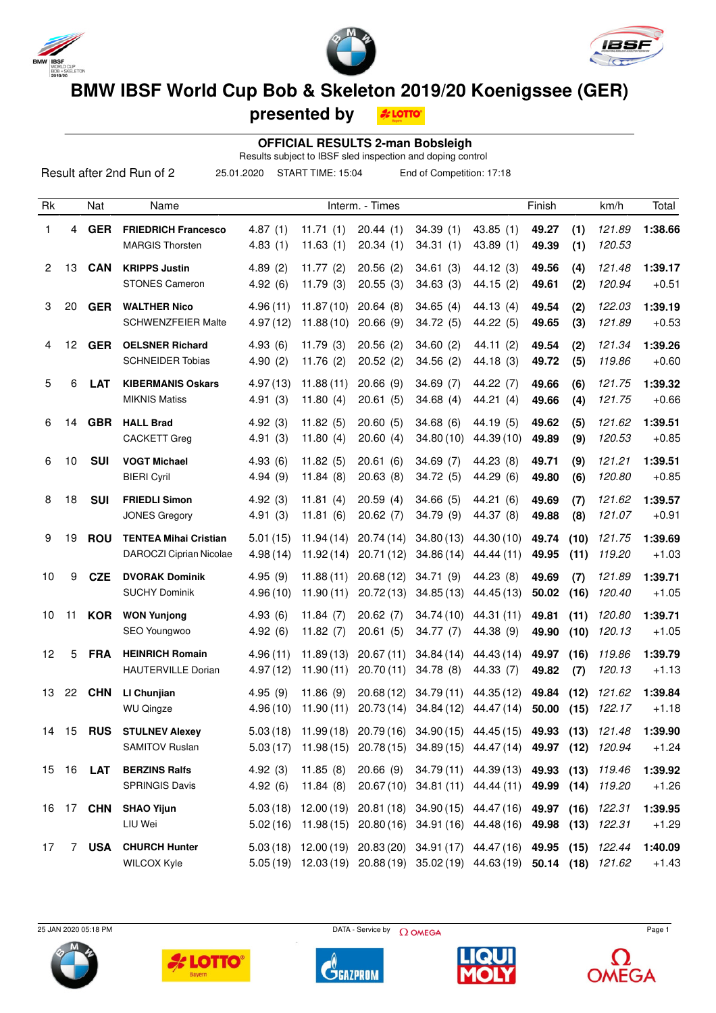





# **BMW IBSF World Cup Bob & Skeleton 2019/20 Koenigssee (GER)**

**presented by**

**A LOTTO** 

#### **OFFICIAL RESULTS 2-man Bobsleigh**

Results subject to IBSF sled inspection and doping control

|                |       |                  | Result after 2nd Run of 2<br>25.01.2020                 |                      | START TIME: 15:04        |                        | End of Competition: 17:18                                                                                                                   |                          |                |              |                  |                    |
|----------------|-------|------------------|---------------------------------------------------------|----------------------|--------------------------|------------------------|---------------------------------------------------------------------------------------------------------------------------------------------|--------------------------|----------------|--------------|------------------|--------------------|
| Rk             |       | Nat              | Name                                                    |                      |                          | Interm. - Times        |                                                                                                                                             |                          | Finish         |              | km/h             | Total              |
| 1              | 4     | <b>GER</b>       | <b>FRIEDRICH Francesco</b><br><b>MARGIS Thorsten</b>    | 4.87(1)<br>4.83(1)   | 11.71(1)<br>11.63(1)     | 20.44(1)<br>20.34(1)   | 34.39(1)<br>34.31(1)                                                                                                                        | 43.85(1)<br>43.89 (1)    | 49.27<br>49.39 | (1)<br>(1)   | 121.89<br>120.53 | 1:38.66            |
| $\overline{2}$ | 13    | <b>CAN</b>       | <b>KRIPPS Justin</b><br><b>STONES Cameron</b>           | 4.89(2)<br>4.92(6)   | 11.77(2)<br>11.79(3)     | 20.56(2)<br>20.55(3)   | 34.61(3)<br>34.63(3)                                                                                                                        | 44.12(3)<br>44.15 (2)    | 49.56<br>49.61 | (4)<br>(2)   | 121.48<br>120.94 | 1:39.17<br>$+0.51$ |
| 3              | 20    | <b>GER</b>       | <b>WALTHER Nico</b><br>SCHWENZFEIER Malte               | 4.96(11)<br>4.97(12) | 11.87(10)<br>11.88(10)   | 20.64(8)<br>20.66(9)   | 34.65(4)<br>34.72 (5)                                                                                                                       | 44.13 (4)<br>44.22 (5)   | 49.54<br>49.65 | (2)<br>(3)   | 122.03<br>121.89 | 1:39.19<br>$+0.53$ |
| 4              | 12    | <b>GER</b>       | <b>OELSNER Richard</b><br><b>SCHNEIDER Tobias</b>       | 4.93(6)<br>4.90(2)   | 11.79(3)<br>11.76(2)     | 20.56(2)<br>20.52(2)   | 34.60(2)<br>34.56 (2)                                                                                                                       | 44.11(2)<br>44.18 (3)    | 49.54<br>49.72 | (2)<br>(5)   | 121.34<br>119.86 | 1:39.26<br>$+0.60$ |
| 5              | 6     | <b>LAT</b>       | <b>KIBERMANIS Oskars</b><br><b>MIKNIS Matiss</b>        | 4.97(13)<br>4.91(3)  | 11.88(11)<br>11.80 $(4)$ | 20.66(9)<br>20.61(5)   | 34.69(7)<br>34.68(4)                                                                                                                        | 44.22 (7)<br>44.21 (4)   | 49.66<br>49.66 | (6)<br>(4)   | 121.75<br>121.75 | 1:39.32<br>$+0.66$ |
| 6              | 14    | <b>GBR</b>       | <b>HALL Brad</b><br><b>CACKETT Greg</b>                 | 4.92(3)<br>4.91(3)   | 11.82(5)<br>11.80 $(4)$  | 20.60(5)<br>20.60(4)   | 34.68(6)<br>34.80(10)                                                                                                                       | 44.19 (5)<br>44.39 (10)  | 49.62<br>49.89 | (5)<br>(9)   | 121.62<br>120.53 | 1:39.51<br>$+0.85$ |
| 6              | 10    | <b>SUI</b>       | <b>VOGT Michael</b><br><b>BIERI Cyril</b>               | 4.93(6)<br>4.94(9)   | 11.82(5)<br>11.84(8)     | 20.61(6)<br>20.63(8)   | 34.69(7)<br>34.72 (5)                                                                                                                       | 44.23 (8)<br>44.29 (6)   | 49.71<br>49.80 | (9)<br>(6)   | 121.21<br>120.80 | 1:39.51<br>$+0.85$ |
| 8              | 18    | <b>SUI</b>       | <b>FRIEDLI Simon</b><br><b>JONES Gregory</b>            | 4.92(3)<br>4.91(3)   | 11.81(4)<br>11.81(6)     | 20.59(4)<br>20.62(7)   | 34.66(5)<br>34.79(9)                                                                                                                        | 44.21 (6)<br>44.37 (8)   | 49.69<br>49.88 | (7)<br>(8)   | 121.62<br>121.07 | 1:39.57<br>$+0.91$ |
| 9              | 19    | <b>ROU</b>       | <b>TENTEA Mihai Cristian</b><br>DAROCZI Ciprian Nicolae | 5.01(15)<br>4.98(14) | 11.94(14)<br>11.92(14)   | 20.74(14)<br>20.71(12) | 34.80(13)<br>34.86(14)                                                                                                                      | 44.30 (10)<br>44.44 (11) | 49.74<br>49.95 | (10)<br>(11) | 121.75<br>119.20 | 1:39.69<br>$+1.03$ |
| 10             | 9     | <b>CZE</b>       | <b>DVORAK Dominik</b><br><b>SUCHY Dominik</b>           | 4.95(9)<br>4.96(10)  | 11.88(11)<br>11.90(11)   | 20.68(12)<br>20.72(13) | 34.71(9)<br>34.85(13)                                                                                                                       | 44.23 (8)<br>44.45 (13)  | 49.69<br>50.02 | (7)<br>(16)  | 121.89<br>120.40 | 1:39.71<br>$+1.05$ |
| 10             | 11    | <b>KOR</b>       | <b>WON Yunjong</b><br>SEO Youngwoo                      | 4.93(6)<br>4.92(6)   | 11.84(7)<br>11.82 $(7)$  | 20.62(7)<br>20.61(5)   | 34.74(10)<br>34.77(7)                                                                                                                       | 44.31 (11)<br>44.38 (9)  | 49.81<br>49.90 | (11)<br>(10) | 120.80<br>120.13 | 1:39.71<br>$+1.05$ |
| 12             | 5     | <b>FRA</b>       | <b>HEINRICH Romain</b><br><b>HAUTERVILLE Dorian</b>     | 4.96(11)<br>4.97(12) | 11.89(13)<br>11.90(11)   | 20.67(11)<br>20.70(11) | 34.84(14)<br>34.78(8)                                                                                                                       | 44.43 (14)<br>44.33 (7)  | 49.97<br>49.82 | (16)<br>(7)  | 119.86<br>120.13 | 1:39.79<br>$+1.13$ |
| 13             | 22    | <b>CHN</b>       | LI Chunjian<br><b>WU Qingze</b>                         | 4.95(9)              | 11.86(9)                 |                        | 20.68 (12) 34.79 (11)<br>$4.96(10)$ $11.90(11)$ $20.73(14)$ $34.84(12)$ $44.47(14)$ <b>50.00 (15)</b> $122.17$                              | 44.35 (12)               | 49.84          | (12)         | 121.62           | 1:39.84<br>+1.18   |
|                | 14 15 | <b>RUS</b>       | <b>STULNEV Alexey</b><br>SAMITOV Ruslan                 | 5.03(18)<br>5.03(17) | 11.98(15)                |                        | 11.99 (18) 20.79 (16) 34.90 (15) 44.45 (15) 49.93 (13)<br>20.78 (15) 34.89 (15) 44.47 (14) 49.97 (12)                                       |                          |                |              | 121.48<br>120.94 | 1:39.90<br>$+1.24$ |
|                |       | 15 16 <b>LAT</b> | <b>BERZINS Ralfs</b><br><b>SPRINGIS Davis</b>           | 4.92(3)<br>4.92(6)   | 11.85(8)<br>11.84(8)     | 20.66(9)               | 34.79 (11) 44.39 (13) 49.93 (13)<br>20.67(10) 34.81(11) 44.44(11) 49.99                                                                     |                          |                | (14)         | 119.46<br>119.20 | 1:39.92<br>$+1.26$ |
|                |       | 16 17 <b>CHN</b> | <b>SHAO Yijun</b><br>LIU Wei                            | 5.03(18)<br>5.02(16) | 12.00 (19)<br>11.98(15)  |                        | 20.81 (18) 34.90 (15) 44.47 (16) 49.97<br>20.80 (16) 34.91 (16) 44.48 (16) 49.98                                                            |                          |                | (16)<br>(13) | 122.31<br>122.31 | 1:39.95<br>$+1.29$ |
| 17             | 7     | <b>USA</b>       | <b>CHURCH Hunter</b><br>WILCOX Kyle                     |                      |                          |                        | 5.03 (18) 12.00 (19) 20.83 (20) 34.91 (17) 44.47 (16) 49.95 (15)<br>5.05 (19) 12.03 (19) 20.88 (19) 35.02 (19) 44.63 (19) 50.14 (18) 121.62 |                          |                |              | 122.44           | 1:40.09<br>$+1.43$ |





 $25$  JAN 2020 05:18 PM Page 1